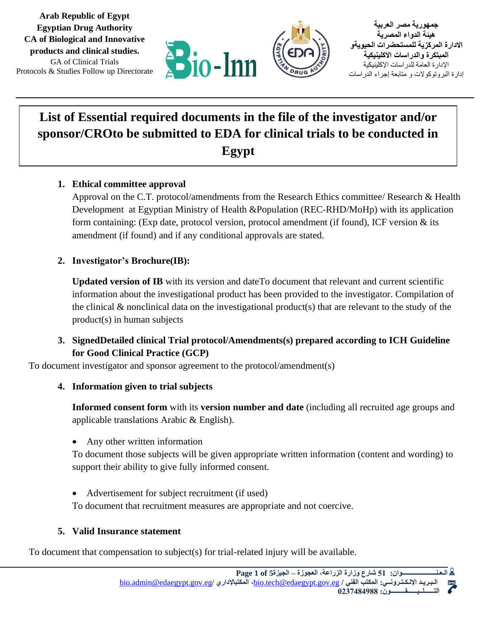

**جمهورية مصر العربية هيئة الدواء المصرية االدارة المركزية للمستحضرات الحيويةو المبتكرة والدراسات االكلينيكية**  اإلدارة العامة للدراسات اإلكلينيكية إدارة البروتوكوالت و متابعة إجراء الدراسات

# **List of Essential required documents in the file of the investigator and/or sponsor/CROto be submitted to EDA for clinical trials to be conducted in Egypt**

# **1. Ethical committee approval**

Protocols & Studies Follow up Directorate

**Arab Republic of Egypt Egyptian Drug Authority CA of Biological and Innovative products and clinical studies.** GA of Clinical Trials

> Approval on the C.T. protocol/amendments from the Research Ethics committee/ Research & Health Development at Egyptian Ministry of Health &Population (REC-RHD/MoHp) with its application form containing: (Exp date, protocol version, protocol amendment (if found), ICF version  $\&$  its amendment (if found) and if any conditional approvals are stated.

## **2. Investigator's Brochure(IB):**

**Updated version of IB** with its version and dateTo document that relevant and current scientific information about the investigational product has been provided to the investigator. Compilation of the clinical & nonclinical data on the investigational product(s) that are relevant to the study of the product(s) in human subjects

# **3. SignedDetailed clinical Trial protocol/Amendments(s) prepared according to ICH Guideline for Good Clinical Practice (GCP)**

To document investigator and sponsor agreement to the protocol/amendment(s)

#### **4. Information given to trial subjects**

**Informed consent form** with its **version number and date** (including all recruited age groups and applicable translations Arabic & English).

• Any other written information

To document those subjects will be given appropriate written information (content and wording) to support their ability to give fully informed consent.

• Advertisement for subject recruitment (if used)

To document that recruitment measures are appropriate and not coercive.

#### **5. Valid Insurance statement**

To document that compensation to subject(s) for trial-related injury will be available.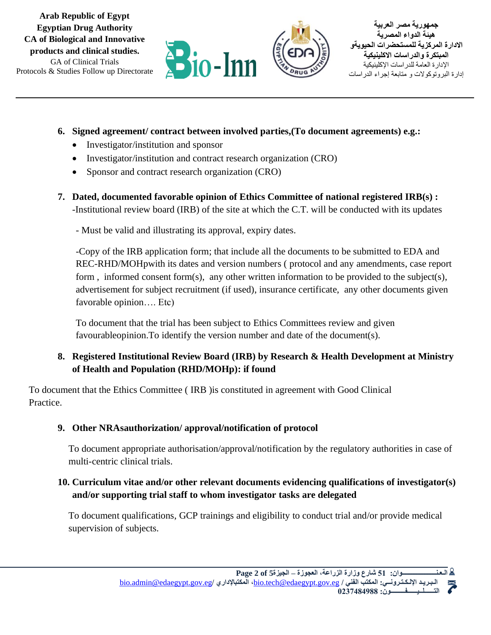



- **6. Signed agreement/ contract between involved parties,(To document agreements) e.g.:** 
	- Investigator/institution and sponsor
	- Investigator/institution and contract research organization (CRO)
	- Sponsor and contract research organization (CRO)
- **7. Dated, documented favorable opinion of Ethics Committee of national registered IRB(s) :** -Institutional review board (IRB) of the site at which the C.T. will be conducted with its updates
	- Must be valid and illustrating its approval, expiry dates.

-Copy of the IRB application form; that include all the documents to be submitted to EDA and REC-RHD/MOHpwith its dates and version numbers ( protocol and any amendments, case report form, informed consent form(s), any other written information to be provided to the subject(s), advertisement for subject recruitment (if used), insurance certificate, any other documents given favorable opinion…. Etc)

To document that the trial has been subject to Ethics Committees review and given favourableopinion.To identify the version number and date of the document(s).

# **8. Registered Institutional Review Board (IRB) by Research & Health Development at Ministry of Health and Population (RHD/MOHp): if found**

To document that the Ethics Committee ( IRB )is constituted in agreement with Good Clinical Practice.

# **9. Other NRAsauthorization/ approval/notification of protocol**

To document appropriate authorisation/approval/notification by the regulatory authorities in case of multi-centric clinical trials.

# **10. Curriculum vitae and/or other relevant documents evidencing qualifications of investigator(s) and/or supporting trial staff to whom investigator tasks are delegated**

To document qualifications, GCP trainings and eligibility to conduct trial and/or provide medical supervision of subjects.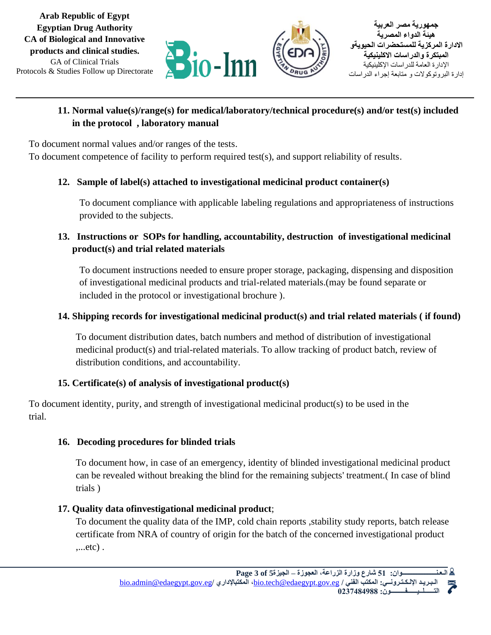# **11. Normal value(s)/range(s) for medical/laboratory/technical procedure(s) and/or test(s) included in the protocol , laboratory manual**

To document normal values and/or ranges of the tests.

Protocols & Studies Follow up Directorate

**Arab Republic of Egypt Egyptian Drug Authority CA of Biological and Innovative products and clinical studies.** GA of Clinical Trials

To document competence of facility to perform required test(s), and support reliability of results.

# **12. Sample of label(s) attached to investigational medicinal product container(s)**

To document compliance with applicable labeling regulations and appropriateness of instructions provided to the subjects.

# **13. Instructions or SOPs for handling, accountability, destruction of investigational medicinal product(s) and trial related materials**

To document instructions needed to ensure proper storage, packaging, dispensing and disposition of investigational medicinal products and trial-related materials.(may be found separate or included in the protocol or investigational brochure ).

## **14. Shipping records for investigational medicinal product(s) and trial related materials ( if found)**

To document distribution dates, batch numbers and method of distribution of investigational medicinal product(s) and trial-related materials. To allow tracking of product batch, review of distribution conditions, and accountability.

# **15. Certificate(s) of analysis of investigational product(s)**

To document identity, purity, and strength of investigational medicinal product(s) to be used in the trial.

#### **16. Decoding procedures for blinded trials**

To document how, in case of an emergency, identity of blinded investigational medicinal product can be revealed without breaking the blind for the remaining subjects' treatment.( In case of blind trials )

#### **17. Quality data ofinvestigational medicinal product**;

To document the quality data of the IMP, cold chain reports ,stability study reports, batch release certificate from NRA of country of origin for the batch of the concerned investigational product ,...etc) .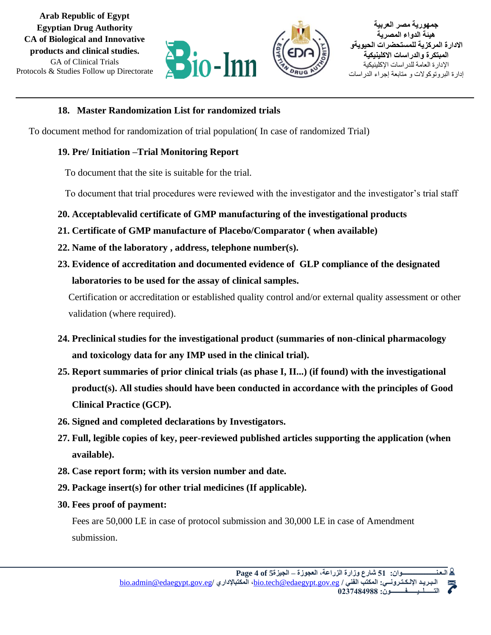

**جمهورية مصر العربية هيئة الدواء المصرية االدارة المركزية للمستحضرات الحيويةو المبتكرة والدراسات االكلينيكية**  اإلدارة العامة للدراسات اإلكلينيكية إدارة البروتوكوالت و متابعة إجراء الدراسات

## **18. Master Randomization List for randomized trials**

To document method for randomization of trial population( In case of randomized Trial)

# **19. Pre/ Initiation –Trial Monitoring Report**

To document that the site is suitable for the trial.

To document that trial procedures were reviewed with the investigator and the investigator's trial staff

- **20. Acceptablevalid certificate of GMP manufacturing of the investigational products**
- **21. Certificate of GMP manufacture of Placebo/Comparator ( when available)**
- **22. Name of the laboratory , address, telephone number(s).**
- **23. Evidence of accreditation and documented evidence of GLP compliance of the designated laboratories to be used for the assay of clinical samples.**

Certification or accreditation or established quality control and/or external quality assessment or other validation (where required).

- **24. Preclinical studies for the investigational product (summaries of non-clinical pharmacology and toxicology data for any IMP used in the clinical trial).**
- **25. Report summaries of prior clinical trials (as phase I, II...) (if found) with the investigational product(s). All studies should have been conducted in accordance with the principles of Good Clinical Practice (GCP).**
- **26. Signed and completed declarations by Investigators.**
- **27. Full, legible copies of key, peer-reviewed published articles supporting the application (when available).**
- **28. Case report form; with its version number and date.**
- **29. Package insert(s) for other trial medicines (If applicable).**
- **30. Fees proof of payment:**

Fees are 50,000 LE in case of protocol submission and 30,000 LE in case of Amendment submission.